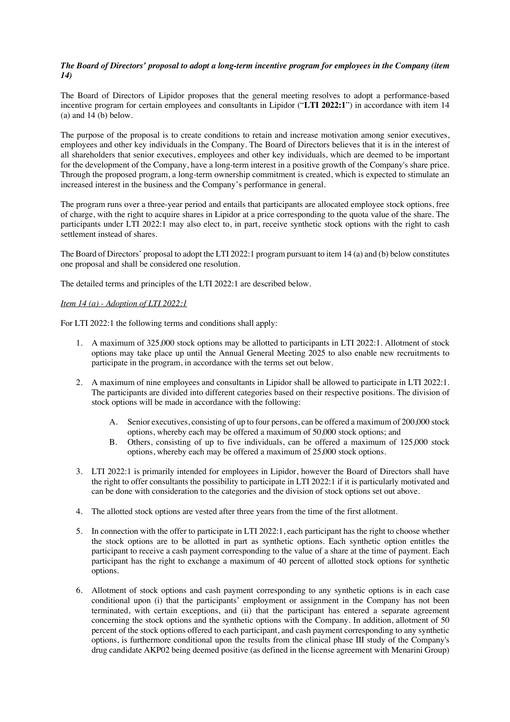#### *The Board of Directors' proposal to adopt a long-term incentive program for employees in the Company (item 14)*

The Board of Directors of Lipidor proposes that the general meeting resolves to adopt a performance-based incentive program for certain employees and consultants in Lipidor ("**LTI 2022:1**") in accordance with item 14  $(a)$  and 14 $(b)$  below.

The purpose of the proposal is to create conditions to retain and increase motivation among senior executives, employees and other key individuals in the Company. The Board of Directors believes that it is in the interest of all shareholders that senior executives, employees and other key individuals, which are deemed to be important for the development of the Company, have a long-term interest in a positive growth of the Company's share price. Through the proposed program, a long-term ownership commitment is created, which is expected to stimulate an increased interest in the business and the Company's performance in general.

The program runs over a three-year period and entails that participants are allocated employee stock options, free of charge, with the right to acquire shares in Lipidor at a price corresponding to the quota value of the share. The participants under LTI 2022:1 may also elect to, in part, receive synthetic stock options with the right to cash settlement instead of shares.

The Board of Directors' proposal to adopt the LTI 2022:1 program pursuant to item 14 (a) and (b) below constitutes one proposal and shall be considered one resolution.

The detailed terms and principles of the LTI 2022:1 are described below.

#### *Item 14 (a) - Adoption of LTI 2022:1*

For LTI 2022:1 the following terms and conditions shall apply:

- 1. A maximum of 325,000 stock options may be allotted to participants in LTI 2022:1. Allotment of stock options may take place up until the Annual General Meeting 2025 to also enable new recruitments to participate in the program, in accordance with the terms set out below.
- 2. A maximum of nine employees and consultants in Lipidor shall be allowed to participate in LTI 2022:1. The participants are divided into different categories based on their respective positions. The division of stock options will be made in accordance with the following:
	- A. Senior executives, consisting of up to four persons, can be offered a maximum of 200,000 stock options, whereby each may be offered a maximum of 50,000 stock options; and
	- B. Others, consisting of up to five individuals, can be offered a maximum of 125,000 stock options, whereby each may be offered a maximum of 25,000 stock options.
- 3. LTI 2022:1 is primarily intended for employees in Lipidor, however the Board of Directors shall have the right to offer consultants the possibility to participate in LTI 2022:1 if it is particularly motivated and can be done with consideration to the categories and the division of stock options set out above.
- 4. The allotted stock options are vested after three years from the time of the first allotment.
- 5. In connection with the offer to participate in LTI 2022:1, each participant has the right to choose whether the stock options are to be allotted in part as synthetic options. Each synthetic option entitles the participant to receive a cash payment corresponding to the value of a share at the time of payment. Each participant has the right to exchange a maximum of 40 percent of allotted stock options for synthetic options.
- 6. Allotment of stock options and cash payment corresponding to any synthetic options is in each case conditional upon (i) that the participants' employment or assignment in the Company has not been terminated, with certain exceptions, and (ii) that the participant has entered a separate agreement concerning the stock options and the synthetic options with the Company. In addition, allotment of 50 percent of the stock options offered to each participant, and cash payment corresponding to any synthetic options, is furthermore conditional upon the results from the clinical phase III study of the Company's drug candidate AKP02 being deemed positive (as defined in the license agreement with Menarini Group)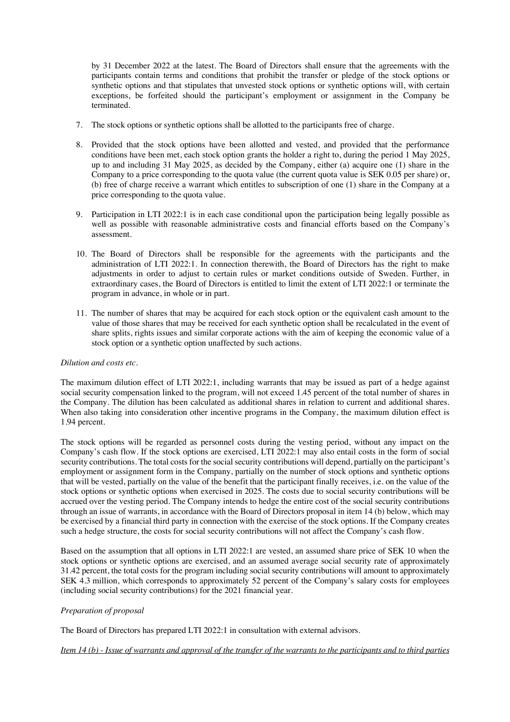by 31 December 2022 at the latest. The Board of Directors shall ensure that the agreements with the participants contain terms and conditions that prohibit the transfer or pledge of the stock options or synthetic options and that stipulates that unvested stock options or synthetic options will, with certain exceptions, be forfeited should the participant's employment or assignment in the Company be terminated.

- 7. The stock options or synthetic options shall be allotted to the participants free of charge.
- 8. Provided that the stock options have been allotted and vested, and provided that the performance conditions have been met, each stock option grants the holder a right to, during the period 1 May 2025, up to and including 31 May 2025, as decided by the Company, either (a) acquire one (1) share in the Company to a price corresponding to the quota value (the current quota value is SEK 0.05 per share) or, (b) free of charge receive a warrant which entitles to subscription of one (1) share in the Company at a price corresponding to the quota value.
- 9. Participation in LTI 2022:1 is in each case conditional upon the participation being legally possible as well as possible with reasonable administrative costs and financial efforts based on the Company's assessment.
- 10. The Board of Directors shall be responsible for the agreements with the participants and the administration of LTI 2022:1. In connection therewith, the Board of Directors has the right to make adjustments in order to adjust to certain rules or market conditions outside of Sweden. Further, in extraordinary cases, the Board of Directors is entitled to limit the extent of LTI 2022:1 or terminate the program in advance, in whole or in part.
- 11. The number of shares that may be acquired for each stock option or the equivalent cash amount to the value of those shares that may be received for each synthetic option shall be recalculated in the event of share splits, rights issues and similar corporate actions with the aim of keeping the economic value of a stock option or a synthetic option unaffected by such actions.

#### *Dilution and costs etc.*

The maximum dilution effect of LTI 2022:1, including warrants that may be issued as part of a hedge against social security compensation linked to the program, will not exceed 1.45 percent of the total number of shares in the Company. The dilution has been calculated as additional shares in relation to current and additional shares. When also taking into consideration other incentive programs in the Company, the maximum dilution effect is 1.94 percent.

The stock options will be regarded as personnel costs during the vesting period, without any impact on the Company's cash flow. If the stock options are exercised, LTI 2022:1 may also entail costs in the form of social security contributions. The total costs for the social security contributions will depend, partially on the participant's employment or assignment form in the Company, partially on the number of stock options and synthetic options that will be vested, partially on the value of the benefit that the participant finally receives, i.e. on the value of the stock options or synthetic options when exercised in 2025. The costs due to social security contributions will be accrued over the vesting period. The Company intends to hedge the entire cost of the social security contributions through an issue of warrants, in accordance with the Board of Directors proposal in item 14 (b) below, which may be exercised by a financial third party in connection with the exercise of the stock options. If the Company creates such a hedge structure, the costs for social security contributions will not affect the Company's cash flow.

Based on the assumption that all options in LTI 2022:1 are vested, an assumed share price of SEK 10 when the stock options or synthetic options are exercised, and an assumed average social security rate of approximately 31.42 percent, the total costs for the program including social security contributions will amount to approximately SEK 4.3 million, which corresponds to approximately 52 percent of the Company's salary costs for employees (including social security contributions) for the 2021 financial year.

#### *Preparation of proposal*

The Board of Directors has prepared LTI 2022:1 in consultation with external advisors.

*Item 14 (b) - Issue of warrants and approval of the transfer of the warrants to the participants and to third parties*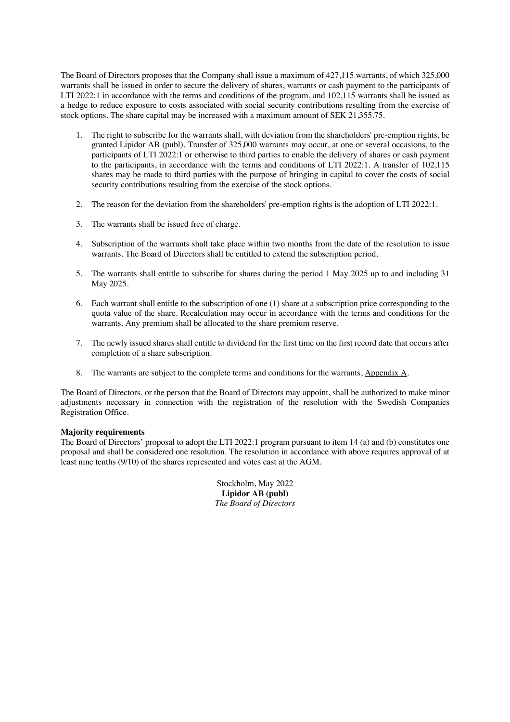The Board of Directors proposes that the Company shall issue a maximum of 427,115 warrants, of which 325,000 warrants shall be issued in order to secure the delivery of shares, warrants or cash payment to the participants of LTI 2022:1 in accordance with the terms and conditions of the program, and 102,115 warrants shall be issued as a hedge to reduce exposure to costs associated with social security contributions resulting from the exercise of stock options. The share capital may be increased with a maximum amount of SEK 21,355.75.

- 1. The right to subscribe for the warrants shall, with deviation from the shareholders' pre-emption rights, be granted Lipidor AB (publ). Transfer of 325,000 warrants may occur, at one or several occasions, to the participants of LTI 2022:1 or otherwise to third parties to enable the delivery of shares or cash payment to the participants, in accordance with the terms and conditions of LTI 2022:1. A transfer of 102,115 shares may be made to third parties with the purpose of bringing in capital to cover the costs of social security contributions resulting from the exercise of the stock options.
- 2. The reason for the deviation from the shareholders' pre-emption rights is the adoption of LTI 2022:1.
- 3. The warrants shall be issued free of charge.
- 4. Subscription of the warrants shall take place within two months from the date of the resolution to issue warrants. The Board of Directors shall be entitled to extend the subscription period.
- 5. The warrants shall entitle to subscribe for shares during the period 1 May 2025 up to and including 31 May 2025.
- 6. Each warrant shall entitle to the subscription of one (1) share at a subscription price corresponding to the quota value of the share. Recalculation may occur in accordance with the terms and conditions for the warrants. Any premium shall be allocated to the share premium reserve.
- 7. The newly issued shares shall entitle to dividend for the first time on the first record date that occurs after completion of a share subscription.
- 8. The warrants are subject to the complete terms and conditions for the warrants, Appendix A.

The Board of Directors, or the person that the Board of Directors may appoint, shall be authorized to make minor adjustments necessary in connection with the registration of the resolution with the Swedish Companies Registration Office.

#### **Majority requirements**

The Board of Directors' proposal to adopt the LTI 2022:1 program pursuant to item 14 (a) and (b) constitutes one proposal and shall be considered one resolution. The resolution in accordance with above requires approval of at least nine tenths (9/10) of the shares represented and votes cast at the AGM.

> Stockholm, May 2022 **Lipidor AB (publ)** *The Board of Directors*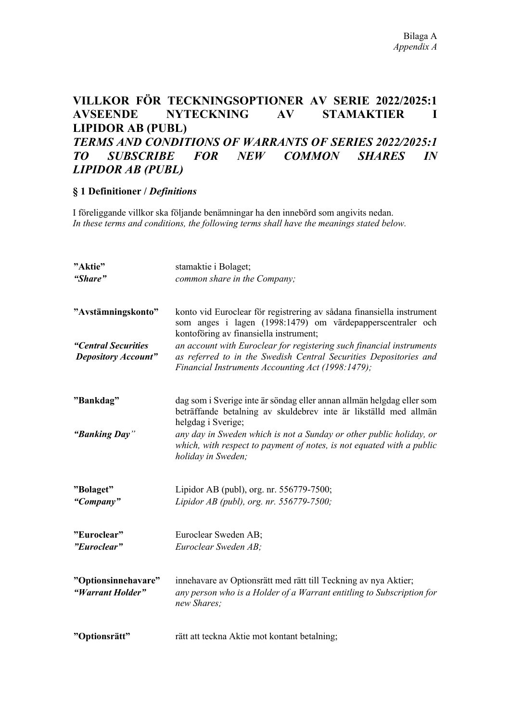# **VILLKOR FÖR TECKNINGSOPTIONER AV SERIE 2022/2025:1 AVSEENDE NYTECKNING AV STAMAKTIER I LIPIDOR AB (PUBL)** *TERMS AND CONDITIONS OF WARRANTS OF SERIES 2022/2025:1 TO SUBSCRIBE FOR NEW COMMON SHARES IN LIPIDOR AB (PUBL)*

### **§ 1 Definitioner /** *Definitions*

I föreliggande villkor ska följande benämningar ha den innebörd som angivits nedan. *In these terms and conditions, the following terms shall have the meanings stated below.*

| "Aktie"                                           | stamaktie i Bolaget;                                                                                                                                                                           |
|---------------------------------------------------|------------------------------------------------------------------------------------------------------------------------------------------------------------------------------------------------|
| "Share"                                           | common share in the Company;                                                                                                                                                                   |
| "Avstämningskonto"                                | konto vid Euroclear för registrering av sådana finansiella instrument<br>som anges i lagen (1998:1479) om värdepapperscentraler och<br>kontoföring av finansiella instrument;                  |
| "Central Securities<br><b>Depository Account"</b> | an account with Euroclear for registering such financial instruments<br>as referred to in the Swedish Central Securities Depositories and<br>Financial Instruments Accounting Act (1998:1479); |
| "Bankdag"                                         | dag som i Sverige inte är söndag eller annan allmän helgdag eller som<br>beträffande betalning av skuldebrev inte är likställd med allmän<br>helgdag i Sverige;                                |
| "Banking Day"                                     | any day in Sweden which is not a Sunday or other public holiday, or<br>which, with respect to payment of notes, is not equated with a public<br>holiday in Sweden;                             |
| "Bolaget"                                         | Lipidor AB (publ), org. nr. 556779-7500;                                                                                                                                                       |
| "Company"                                         | Lipidor AB (publ), org. nr. 556779-7500;                                                                                                                                                       |
| "Euroclear"                                       | Euroclear Sweden AB;                                                                                                                                                                           |
| "Euroclear"                                       | Euroclear Sweden AB;                                                                                                                                                                           |
| "Optionsinnehavare"<br>"Warrant Holder"           | innehavare av Optionsrätt med rätt till Teckning av nya Aktier;<br>any person who is a Holder of a Warrant entitling to Subscription for<br>new Shares;                                        |
| "Optionsrätt"                                     | rätt att teckna Aktie mot kontant betalning;                                                                                                                                                   |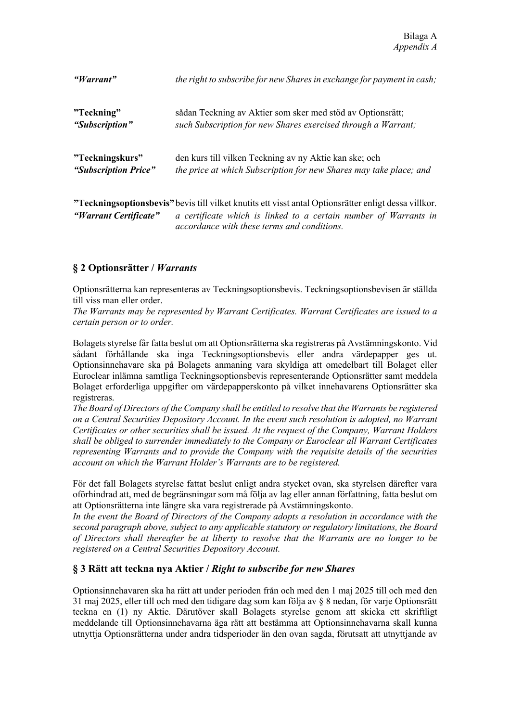| "Warrant"             | the right to subscribe for new Shares in exchange for payment in cash;                                                                                                    |
|-----------------------|---------------------------------------------------------------------------------------------------------------------------------------------------------------------------|
| "Teckning"            | sådan Teckning av Aktier som sker med stöd av Optionsrätt;                                                                                                                |
| "Subscription"        | such Subscription for new Shares exercised through a Warrant;                                                                                                             |
| "Teckningskurs"       | den kurs till vilken Teckning av ny Aktie kan ske; och                                                                                                                    |
| "Subscription Price"  | the price at which Subscription for new Shares may take place; and                                                                                                        |
| "Warrant Certificate" | "Teckningsoptionsbevis" bevis till vilket knutits ett visst antal Optionsrätter enligt dessa villkor.<br>a certificate which is linked to a certain number of Warrants in |

# **§ 2 Optionsrätter /** *Warrants*

Optionsrätterna kan representeras av Teckningsoptionsbevis. Teckningsoptionsbevisen är ställda till viss man eller order.

*accordance with these terms and conditions.*

*The Warrants may be represented by Warrant Certificates. Warrant Certificates are issued to a certain person or to order.*

Bolagets styrelse får fatta beslut om att Optionsrätterna ska registreras på Avstämningskonto. Vid sådant förhållande ska inga Teckningsoptionsbevis eller andra värdepapper ges ut. Optionsinnehavare ska på Bolagets anmaning vara skyldiga att omedelbart till Bolaget eller Euroclear inlämna samtliga Teckningsoptionsbevis representerande Optionsrätter samt meddela Bolaget erforderliga uppgifter om värdepapperskonto på vilket innehavarens Optionsrätter ska registreras.

*The Board of Directors of the Company shall be entitled to resolve that the Warrants be registered on a Central Securities Depository Account. In the event such resolution is adopted, no Warrant Certificates or other securities shall be issued. At the request of the Company, Warrant Holders shall be obliged to surrender immediately to the Company or Euroclear all Warrant Certificates representing Warrants and to provide the Company with the requisite details of the securities account on which the Warrant Holder's Warrants are to be registered.*

För det fall Bolagets styrelse fattat beslut enligt andra stycket ovan, ska styrelsen därefter vara oförhindrad att, med de begränsningar som må följa av lag eller annan författning, fatta beslut om att Optionsrätterna inte längre ska vara registrerade på Avstämningskonto.

*In the event the Board of Directors of the Company adopts a resolution in accordance with the second paragraph above, subject to any applicable statutory or regulatory limitations, the Board of Directors shall thereafter be at liberty to resolve that the Warrants are no longer to be registered on a Central Securities Depository Account.*

# **§ 3 Rätt att teckna nya Aktier /** *Right to subscribe for new Shares*

Optionsinnehavaren ska ha rätt att under perioden från och med den 1 maj 2025 till och med den 31 maj 2025, eller till och med den tidigare dag som kan följa av § 8 nedan, för varje Optionsrätt teckna en (1) ny Aktie. Därutöver skall Bolagets styrelse genom att skicka ett skriftligt meddelande till Optionsinnehavarna äga rätt att bestämma att Optionsinnehavarna skall kunna utnyttja Optionsrätterna under andra tidsperioder än den ovan sagda, förutsatt att utnyttjande av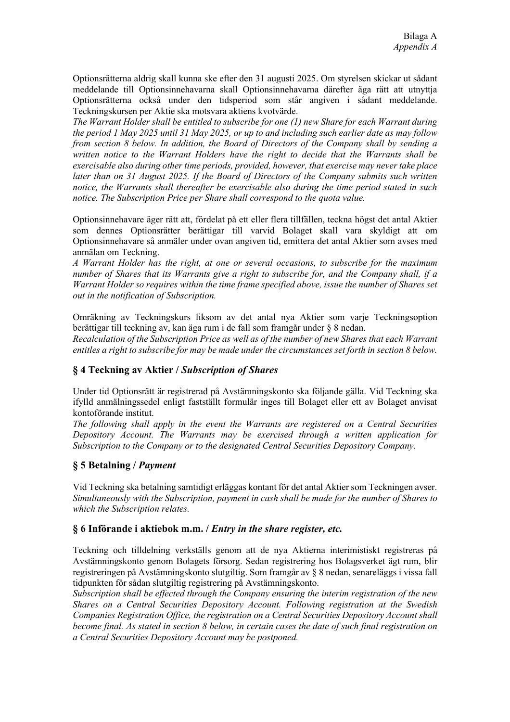Optionsrätterna aldrig skall kunna ske efter den 31 augusti 2025. Om styrelsen skickar ut sådant meddelande till Optionsinnehavarna skall Optionsinnehavarna därefter äga rätt att utnyttja Optionsrätterna också under den tidsperiod som står angiven i sådant meddelande. Teckningskursen per Aktie ska motsvara aktiens kvotvärde.

*The Warrant Holder shall be entitled to subscribe for one (1) new Share for each Warrant during the period 1 May 2025 until 31 May 2025, or up to and including such earlier date as may follow from section 8 below. In addition, the Board of Directors of the Company shall by sending a written notice to the Warrant Holders have the right to decide that the Warrants shall be exercisable also during other time periods, provided, however, that exercise may never take place later than on 31 August 2025. If the Board of Directors of the Company submits such written notice, the Warrants shall thereafter be exercisable also during the time period stated in such notice. The Subscription Price per Share shall correspond to the quota value.* 

Optionsinnehavare äger rätt att, fördelat på ett eller flera tillfällen, teckna högst det antal Aktier som dennes Optionsrätter berättigar till varvid Bolaget skall vara skyldigt att om Optionsinnehavare så anmäler under ovan angiven tid, emittera det antal Aktier som avses med anmälan om Teckning.

*A Warrant Holder has the right, at one or several occasions, to subscribe for the maximum number of Shares that its Warrants give a right to subscribe for, and the Company shall, if a Warrant Holder so requires within the time frame specified above, issue the number of Shares set out in the notification of Subscription.*

Omräkning av Teckningskurs liksom av det antal nya Aktier som varje Teckningsoption berättigar till teckning av, kan äga rum i de fall som framgår under § 8 nedan.

*Recalculation of the Subscription Price as well as of the number of new Shares that each Warrant entitles a right to subscribe for may be made under the circumstances set forth in section 8 below.*

### **§ 4 Teckning av Aktier /** *Subscription of Shares*

Under tid Optionsrätt är registrerad på Avstämningskonto ska följande gälla. Vid Teckning ska ifylld anmälningssedel enligt fastställt formulär inges till Bolaget eller ett av Bolaget anvisat kontoförande institut.

*The following shall apply in the event the Warrants are registered on a Central Securities Depository Account. The Warrants may be exercised through a written application for Subscription to the Company or to the designated Central Securities Depository Company.*

### **§ 5 Betalning /** *Payment*

Vid Teckning ska betalning samtidigt erläggas kontant för det antal Aktier som Teckningen avser. *Simultaneously with the Subscription, payment in cash shall be made for the number of Shares to which the Subscription relates.*

### **§ 6 Införande i aktiebok m.m. /** *Entry in the share register, etc.*

Teckning och tilldelning verkställs genom att de nya Aktierna interimistiskt registreras på Avstämningskonto genom Bolagets försorg. Sedan registrering hos Bolagsverket ägt rum, blir registreringen på Avstämningskonto slutgiltig. Som framgår av § 8 nedan, senareläggs i vissa fall tidpunkten för sådan slutgiltig registrering på Avstämningskonto.

*Subscription shall be effected through the Company ensuring the interim registration of the new Shares on a Central Securities Depository Account. Following registration at the Swedish Companies Registration Office, the registration on a Central Securities Depository Account shall become final. As stated in section 8 below, in certain cases the date of such final registration on a Central Securities Depository Account may be postponed.*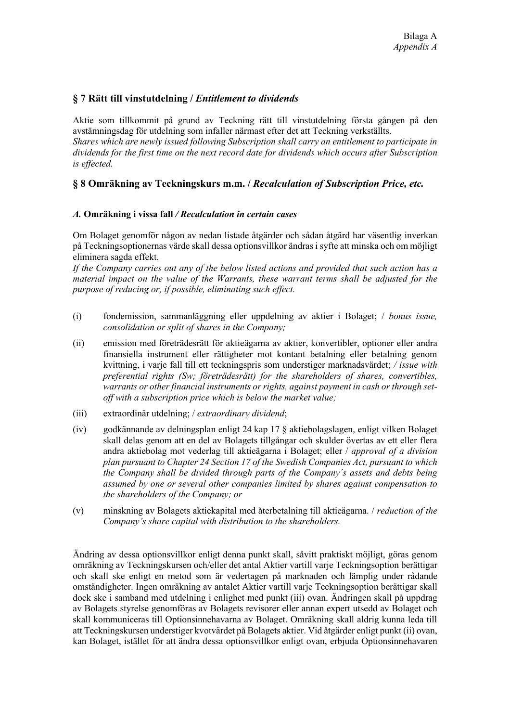### **§ 7 Rätt till vinstutdelning /** *Entitlement to dividends*

Aktie som tillkommit på grund av Teckning rätt till vinstutdelning första gången på den avstämningsdag för utdelning som infaller närmast efter det att Teckning verkställts. *Shares which are newly issued following Subscription shall carry an entitlement to participate in dividends for the first time on the next record date for dividends which occurs after Subscription is effected.*

### **§ 8 Omräkning av Teckningskurs m.m. /** *Recalculation of Subscription Price, etc.*

#### *A.* **Omräkning i vissa fall** */ Recalculation in certain cases*

Om Bolaget genomför någon av nedan listade åtgärder och sådan åtgärd har väsentlig inverkan på Teckningsoptionernas värde skall dessa optionsvillkor ändras i syfte att minska och om möjligt eliminera sagda effekt.

*If the Company carries out any of the below listed actions and provided that such action has a material impact on the value of the Warrants, these warrant terms shall be adjusted for the purpose of reducing or, if possible, eliminating such effect.*

- (i) fondemission, sammanläggning eller uppdelning av aktier i Bolaget; / *bonus issue, consolidation or split of shares in the Company;*
- (ii) emission med företrädesrätt för aktieägarna av aktier, konvertibler, optioner eller andra finansiella instrument eller rättigheter mot kontant betalning eller betalning genom kvittning, i varje fall till ett teckningspris som understiger marknadsvärdet; */ issue with preferential rights (Sw; företrädesrätt) for the shareholders of shares, convertibles, warrants or other financial instruments or rights, against payment in cash or through setoff with a subscription price which is below the market value;*
- (iii) extraordinär utdelning; / *extraordinary dividend*;
- (iv) godkännande av delningsplan enligt 24 kap 17 § aktiebolagslagen, enligt vilken Bolaget skall delas genom att en del av Bolagets tillgångar och skulder övertas av ett eller flera andra aktiebolag mot vederlag till aktieägarna i Bolaget; eller / *approval of a division plan pursuant to Chapter 24 Section 17 of the Swedish Companies Act, pursuant to which the Company shall be divided through parts of the Company´s assets and debts being assumed by one or several other companies limited by shares against compensation to the shareholders of the Company; or*
- (v) minskning av Bolagets aktiekapital med återbetalning till aktieägarna. / *reduction of the Company's share capital with distribution to the shareholders.*

Ändring av dessa optionsvillkor enligt denna punkt skall, såvitt praktiskt möjligt, göras genom omräkning av Teckningskursen och/eller det antal Aktier vartill varje Teckningsoption berättigar och skall ske enligt en metod som är vedertagen på marknaden och lämplig under rådande omständigheter. Ingen omräkning av antalet Aktier vartill varje Teckningsoption berättigar skall dock ske i samband med utdelning i enlighet med punkt (iii) ovan. Ändringen skall på uppdrag av Bolagets styrelse genomföras av Bolagets revisorer eller annan expert utsedd av Bolaget och skall kommuniceras till Optionsinnehavarna av Bolaget. Omräkning skall aldrig kunna leda till att Teckningskursen understiger kvotvärdet på Bolagets aktier. Vid åtgärder enligt punkt (ii) ovan, kan Bolaget, istället för att ändra dessa optionsvillkor enligt ovan, erbjuda Optionsinnehavaren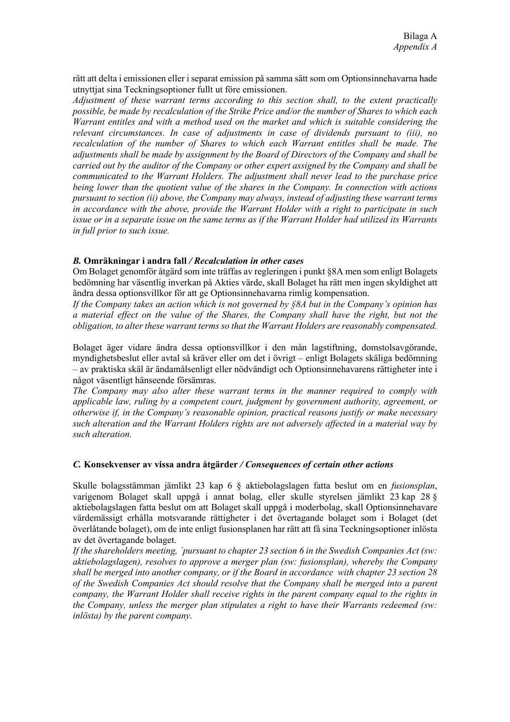rätt att delta i emissionen eller i separat emission på samma sätt som om Optionsinnehavarna hade utnyttjat sina Teckningsoptioner fullt ut före emissionen.

*Adjustment of these warrant terms according to this section shall, to the extent practically possible, be made by recalculation of the Strike Price and/or the number of Shares to which each Warrant entitles and with a method used on the market and which is suitable considering the relevant circumstances. In case of adjustments in case of dividends pursuant to (iii), no recalculation of the number of Shares to which each Warrant entitles shall be made. The adjustments shall be made by assignment by the Board of Directors of the Company and shall be carried out by the auditor of the Company or other expert assigned by the Company and shall be communicated to the Warrant Holders. The adjustment shall never lead to the purchase price being lower than the quotient value of the shares in the Company. In connection with actions pursuant to section (ii) above, the Company may always, instead of adjusting these warrant terms in accordance with the above, provide the Warrant Holder with a right to participate in such issue or in a separate issue on the same terms as if the Warrant Holder had utilized its Warrants in full prior to such issue.*

#### *B.* **Omräkningar i andra fall** */ Recalculation in other cases*

Om Bolaget genomför åtgärd som inte träffas av regleringen i punkt §8A men som enligt Bolagets bedömning har väsentlig inverkan på Akties värde, skall Bolaget ha rätt men ingen skyldighet att ändra dessa optionsvillkor för att ge Optionsinnehavarna rimlig kompensation.

*If the Company takes an action which is not governed by §8A but in the Company's opinion has a material effect on the value of the Shares, the Company shall have the right, but not the obligation, to alter these warrant terms so that the Warrant Holders are reasonably compensated.*

Bolaget äger vidare ändra dessa optionsvillkor i den mån lagstiftning, domstolsavgörande, myndighetsbeslut eller avtal så kräver eller om det i övrigt – enligt Bolagets skäliga bedömning – av praktiska skäl är ändamålsenligt eller nödvändigt och Optionsinnehavarens rättigheter inte i något väsentligt hänseende försämras.

*The Company may also alter these warrant terms in the manner required to comply with applicable law, ruling by a competent court, judgment by government authority, agreement, or otherwise if, in the Company's reasonable opinion, practical reasons justify or make necessary such alteration and the Warrant Holders rights are not adversely affected in a material way by such alteration.*

#### *C.* **Konsekvenser av vissa andra åtgärder** */ Consequences of certain other actions*

Skulle bolagsstämman jämlikt 23 kap 6 § aktiebolagslagen fatta beslut om en *fusionsplan*, varigenom Bolaget skall uppgå i annat bolag, eller skulle styrelsen jämlikt 23 kap 28 § aktiebolagslagen fatta beslut om att Bolaget skall uppgå i moderbolag, skall Optionsinnehavare värdemässigt erhålla motsvarande rättigheter i det övertagande bolaget som i Bolaget (det överlåtande bolaget), om de inte enligt fusionsplanen har rätt att få sina Teckningsoptioner inlösta av det övertagande bolaget.

*If the shareholders meeting, ´pursuant to chapter 23 section 6 in the Swedish Companies Act (sw: aktiebolagslagen), resolves to approve a merger plan (sw: fusionsplan), whereby the Company shall be merged into another company, or if the Board in accordance with chapter 23 section 28 of the Swedish Companies Act should resolve that the Company shall be merged into a parent company, the Warrant Holder shall receive rights in the parent company equal to the rights in the Company, unless the merger plan stipulates a right to have their Warrants redeemed (sw: inlösta) by the parent company.*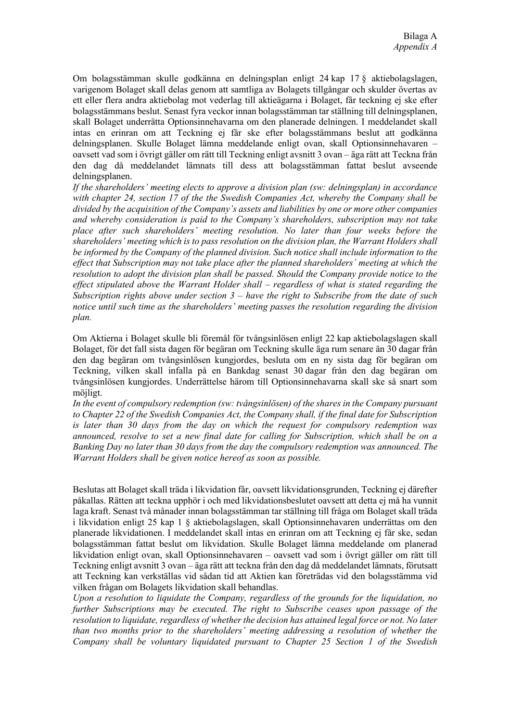Om bolagsstämman skulle godkänna en delningsplan enligt 24 kap 17 § aktiebolagslagen, varigenom Bolaget skall delas genom att samtliga av Bolagets tillgångar och skulder övertas av ett eller flera andra aktiebolag mot vederlag till aktieägarna i Bolaget, får teckning ej ske efter bolagsstämmans beslut. Senast fyra veckor innan bolagsstämman tar ställning till delningsplanen, skall Bolaget underrätta Optionsinnehavarna om den planerade delningen. I meddelandet skall intas en erinran om att Teckning ej får ske efter bolagsstämmans beslut att godkänna delningsplanen. Skulle Bolaget lämna meddelande enligt ovan, skall Optionsinnehavaren – oavsett vad som i övrigt gäller om rätt till Teckning enligt avsnitt 3 ovan – äga rätt att Teckna från den dag då meddelandet lämnats till dess att bolagsstämman fattat beslut avseende delningsplanen.

*If the shareholders' meeting elects to approve a division plan (sw: delningsplan) in accordance with chapter 24, section 17 of the the Swedish Companies Act, whereby the Company shall be divided by the acquisition of the Company's assets and liabilities by one or more other companies and whereby consideration is paid to the Company's shareholders, subscription may not take place after such shareholders' meeting resolution. No later than four weeks before the shareholders' meeting which is to pass resolution on the division plan, the Warrant Holders shall be informed by the Company of the planned division. Such notice shall include information to the effect that Subscription may not take place after the planned shareholders´ meeting at which the resolution to adopt the division plan shall be passed. Should the Company provide notice to the effect stipulated above the Warrant Holder shall – regardless of what is stated regarding the Subscription rights above under section 3 – have the right to Subscribe from the date of such notice until such time as the shareholders' meeting passes the resolution regarding the division plan.*

Om Aktierna i Bolaget skulle bli föremål för tvångsinlösen enligt 22 kap aktiebolagslagen skall Bolaget, för det fall sista dagen för begäran om Teckning skulle äga rum senare än 30 dagar från den dag begäran om tvångsinlösen kungjordes, besluta om en ny sista dag för begäran om Teckning, vilken skall infalla på en Bankdag senast 30 dagar från den dag begäran om tvångsinlösen kungjordes. Underrättelse härom till Optionsinnehavarna skall ske så snart som möjligt.

In the event of compulsory redemption (sw: tvångsinlösen) of the shares in the Company pursuant *to Chapter 22 of the Swedish Companies Act, the Company shall, if the final date for Subscription is later than 30 days from the day on which the request for compulsory redemption was announced, resolve to set a new final date for calling for Subscription, which shall be on a Banking Day no later than 30 days from the day the compulsory redemption was announced. The Warrant Holders shall be given notice hereof as soon as possible.*

Beslutas att Bolaget skall träda i likvidation får, oavsett likvidationsgrunden, Teckning ej därefter påkallas. Rätten att teckna upphör i och med likvidationsbeslutet oavsett att detta ej må ha vunnit laga kraft. Senast två månader innan bolagsstämman tar ställning till fråga om Bolaget skall träda i likvidation enligt 25 kap 1 § aktiebolagslagen, skall Optionsinnehavaren underrättas om den planerade likvidationen. I meddelandet skall intas en erinran om att Teckning ej får ske, sedan bolagsstämman fattat beslut om likvidation. Skulle Bolaget lämna meddelande om planerad likvidation enligt ovan, skall Optionsinnehavaren – oavsett vad som i övrigt gäller om rätt till Teckning enligt avsnitt 3 ovan – äga rätt att teckna från den dag då meddelandet lämnats, förutsatt att Teckning kan verkställas vid sådan tid att Aktien kan företrädas vid den bolagsstämma vid vilken frågan om Bolagets likvidation skall behandlas.

*Upon a resolution to liquidate the Company, regardless of the grounds for the liquidation, no further Subscriptions may be executed. The right to Subscribe ceases upon passage of the resolution to liquidate, regardless of whether the decision has attained legal force or not. No later than two months prior to the shareholders' meeting addressing a resolution of whether the Company shall be voluntary liquidated pursuant to Chapter 25 Section 1 of the Swedish*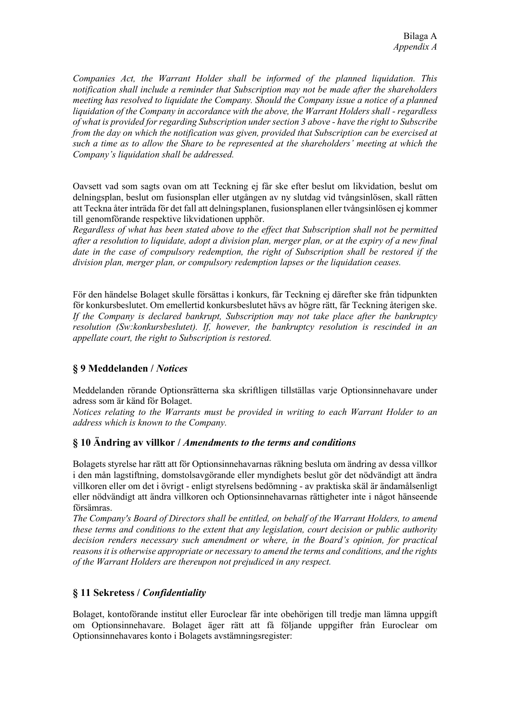*Companies Act, the Warrant Holder shall be informed of the planned liquidation. This notification shall include a reminder that Subscription may not be made after the shareholders meeting has resolved to liquidate the Company. Should the Company issue a notice of a planned liquidation of the Company in accordance with the above, the Warrant Holders shall - regardless of what is provided for regarding Subscription under section 3 above - have the right to Subscribe from the day on which the notification was given, provided that Subscription can be exercised at such a time as to allow the Share to be represented at the shareholders' meeting at which the Company's liquidation shall be addressed.*

Oavsett vad som sagts ovan om att Teckning ej får ske efter beslut om likvidation, beslut om delningsplan, beslut om fusionsplan eller utgången av ny slutdag vid tvångsinlösen, skall rätten att Teckna åter inträda för det fall att delningsplanen, fusionsplanen eller tvångsinlösen ej kommer till genomförande respektive likvidationen upphör.

*Regardless of what has been stated above to the effect that Subscription shall not be permitted after a resolution to liquidate, adopt a division plan, merger plan, or at the expiry of a new final date in the case of compulsory redemption, the right of Subscription shall be restored if the division plan, merger plan, or compulsory redemption lapses or the liquidation ceases.*

För den händelse Bolaget skulle försättas i konkurs, får Teckning ej därefter ske från tidpunkten för konkursbeslutet. Om emellertid konkursbeslutet hävs av högre rätt, får Teckning återigen ske. *If the Company is declared bankrupt, Subscription may not take place after the bankruptcy resolution (Sw:konkursbeslutet). If, however, the bankruptcy resolution is rescinded in an appellate court, the right to Subscription is restored.*

### **§ 9 Meddelanden /** *Notices*

Meddelanden rörande Optionsrätterna ska skriftligen tillställas varje Optionsinnehavare under adress som är känd för Bolaget.

*Notices relating to the Warrants must be provided in writing to each Warrant Holder to an address which is known to the Company.*

### **§ 10 Ändring av villkor /** *Amendments to the terms and conditions*

Bolagets styrelse har rätt att för Optionsinnehavarnas räkning besluta om ändring av dessa villkor i den mån lagstiftning, domstolsavgörande eller myndighets beslut gör det nödvändigt att ändra villkoren eller om det i övrigt - enligt styrelsens bedömning - av praktiska skäl är ändamålsenligt eller nödvändigt att ändra villkoren och Optionsinnehavarnas rättigheter inte i något hänseende försämras.

*The Company's Board of Directors shall be entitled, on behalf of the Warrant Holders, to amend these terms and conditions to the extent that any legislation, court decision or public authority decision renders necessary such amendment or where, in the Board's opinion, for practical reasons it is otherwise appropriate or necessary to amend the terms and conditions, and the rights of the Warrant Holders are thereupon not prejudiced in any respect.*

# **§ 11 Sekretess /** *Confidentiality*

Bolaget, kontoförande institut eller Euroclear får inte obehörigen till tredje man lämna uppgift om Optionsinnehavare. Bolaget äger rätt att få följande uppgifter från Euroclear om Optionsinnehavares konto i Bolagets avstämningsregister: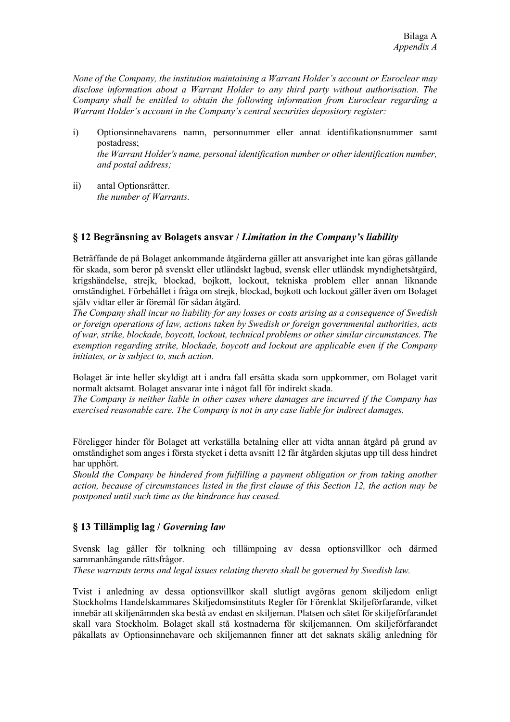*None of the Company, the institution maintaining a Warrant Holder's account or Euroclear may disclose information about a Warrant Holder to any third party without authorisation. The Company shall be entitled to obtain the following information from Euroclear regarding a Warrant Holder's account in the Company's central securities depository register:*

- i) Optionsinnehavarens namn, personnummer eller annat identifikationsnummer samt postadress; *the Warrant Holder's name, personal identification number or other identification number, and postal address;*
- ii) antal Optionsrätter. *the number of Warrants.*

### **§ 12 Begränsning av Bolagets ansvar /** *Limitation in the Company's liability*

Beträffande de på Bolaget ankommande åtgärderna gäller att ansvarighet inte kan göras gällande för skada, som beror på svenskt eller utländskt lagbud, svensk eller utländsk myndighetsåtgärd, krigshändelse, strejk, blockad, bojkott, lockout, tekniska problem eller annan liknande omständighet. Förbehållet i fråga om strejk, blockad, bojkott och lockout gäller även om Bolaget själv vidtar eller är föremål för sådan åtgärd.

*The Company shall incur no liability for any losses or costs arising as a consequence of Swedish or foreign operations of law, actions taken by Swedish or foreign governmental authorities, acts of war, strike, blockade, boycott, lockout, technical problems or other similar circumstances. The exemption regarding strike, blockade, boycott and lockout are applicable even if the Company initiates, or is subject to, such action.*

Bolaget är inte heller skyldigt att i andra fall ersätta skada som uppkommer, om Bolaget varit normalt aktsamt. Bolaget ansvarar inte i något fall för indirekt skada.

*The Company is neither liable in other cases where damages are incurred if the Company has exercised reasonable care. The Company is not in any case liable for indirect damages.*

Föreligger hinder för Bolaget att verkställa betalning eller att vidta annan åtgärd på grund av omständighet som anges i första stycket i detta avsnitt 12 får åtgärden skjutas upp till dess hindret har upphört.

*Should the Company be hindered from fulfilling a payment obligation or from taking another action, because of circumstances listed in the first clause of this Section 12, the action may be postponed until such time as the hindrance has ceased.*

### **§ 13 Tillämplig lag /** *Governing law*

Svensk lag gäller för tolkning och tillämpning av dessa optionsvillkor och därmed sammanhängande rättsfrågor.

*These warrants terms and legal issues relating thereto shall be governed by Swedish law.*

Tvist i anledning av dessa optionsvillkor skall slutligt avgöras genom skiljedom enligt Stockholms Handelskammares Skiljedomsinstituts Regler för Förenklat Skiljeförfarande, vilket innebär att skiljenämnden ska bestå av endast en skiljeman. Platsen och sätet för skiljeförfarandet skall vara Stockholm. Bolaget skall stå kostnaderna för skiljemannen. Om skiljeförfarandet påkallats av Optionsinnehavare och skiljemannen finner att det saknats skälig anledning för